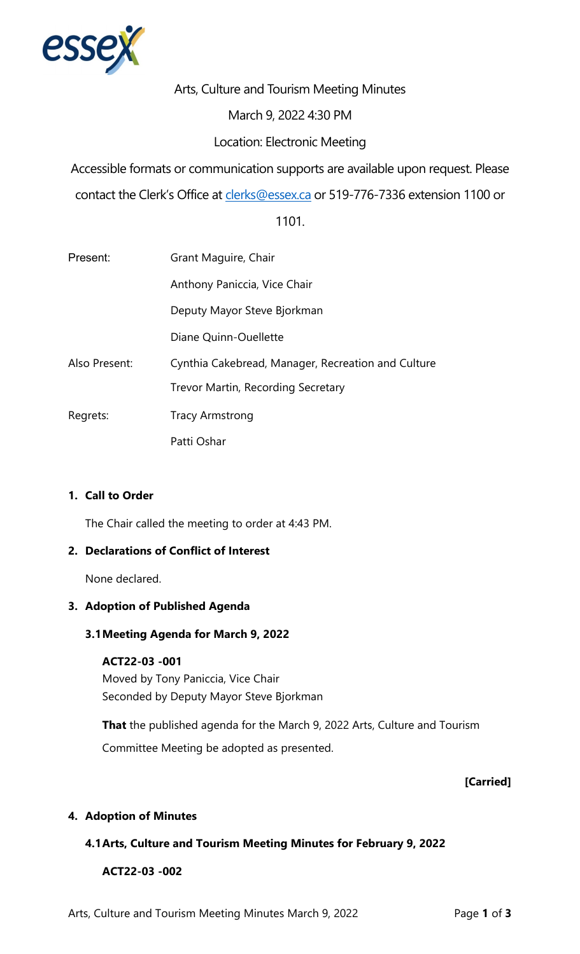

Arts, Culture and Tourism Meeting Minutes

# March 9, 2022 4:30 PM

# Location: Electronic Meeting

Accessible formats or communication supports are available upon request. Please

contact the Clerk's Office at [clerks@essex.ca](mailto:clerks@essex.ca) or 519-776-7336 extension 1100 or

# 1101.

| Present:      | Grant Maguire, Chair                               |
|---------------|----------------------------------------------------|
|               | Anthony Paniccia, Vice Chair                       |
|               | Deputy Mayor Steve Bjorkman                        |
|               | Diane Quinn-Ouellette                              |
| Also Present: | Cynthia Cakebread, Manager, Recreation and Culture |
|               | Trevor Martin, Recording Secretary                 |
| Regrets:      | <b>Tracy Armstrong</b>                             |
|               | Patti Oshar                                        |

### **1. Call to Order**

The Chair called the meeting to order at 4:43 PM.

#### **2. Declarations of Conflict of Interest**

None declared.

#### **3. Adoption of Published Agenda**

### **3.1Meeting Agenda for March 9, 2022**

#### **ACT22-03 -001**

Moved by Tony Paniccia, Vice Chair Seconded by Deputy Mayor Steve Bjorkman

 Committee Meeting be adopted as presented. **That** the published agenda for the March 9, 2022 Arts, Culture and Tourism

#### **[Carried]**

# **4. Adoption of Minutes**

# **4.1Arts, Culture and Tourism Meeting Minutes for February 9, 2022**

 **ACT22-03 -002**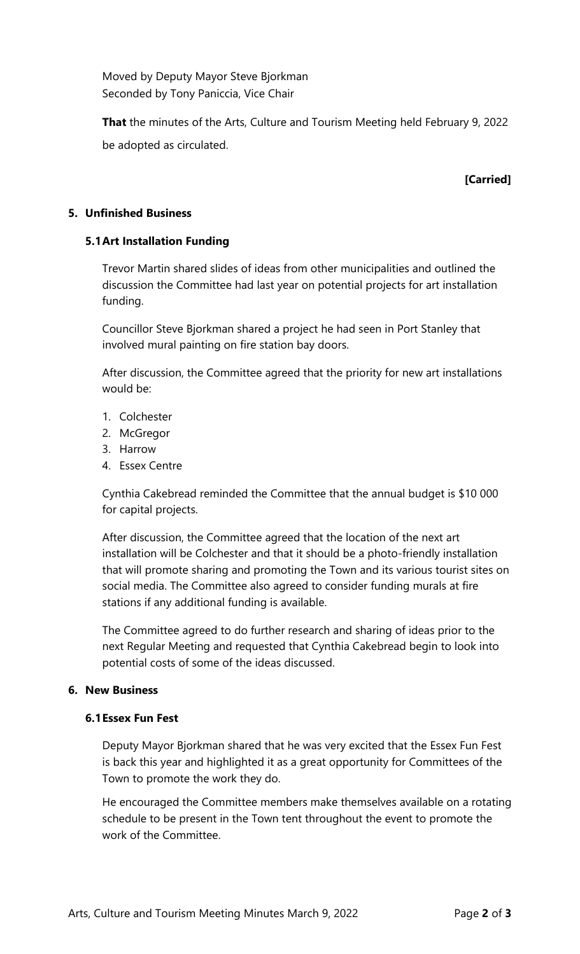Moved by Deputy Mayor Steve Bjorkman Seconded by Tony Paniccia, Vice Chair

 **That** the minutes of the Arts, Culture and Tourism Meeting held February 9, 2022 be adopted as circulated.

# **[Carried]**

### **5. Unfinished Business**

### **5.1Art Installation Funding**

 Trevor Martin shared slides of ideas from other municipalities and outlined the discussion the Committee had last year on potential projects for art installation funding.

 involved mural painting on fire station bay doors. Councillor Steve Bjorkman shared a project he had seen in Port Stanley that

 After discussion, the Committee agreed that the priority for new art installations would be:

- 1. Colchester
- 2. McGregor
- 3. Harrow
- 4. Essex Centre

 Cynthia Cakebread reminded the Committee that the annual budget is \$10 000 for capital projects.

 After discussion, the Committee agreed that the location of the next art installation will be Colchester and that it should be a photo-friendly installation that will promote sharing and promoting the Town and its various tourist sites on social media. The Committee also agreed to consider funding murals at fire stations if any additional funding is available.

 The Committee agreed to do further research and sharing of ideas prior to the next Regular Meeting and requested that Cynthia Cakebread begin to look into potential costs of some of the ideas discussed.

#### **6. New Business**

#### **6.1Essex Fun Fest**

 Deputy Mayor Bjorkman shared that he was very excited that the Essex Fun Fest is back this year and highlighted it as a great opportunity for Committees of the Town to promote the work they do.

 He encouraged the Committee members make themselves available on a rotating schedule to be present in the Town tent throughout the event to promote the work of the Committee.